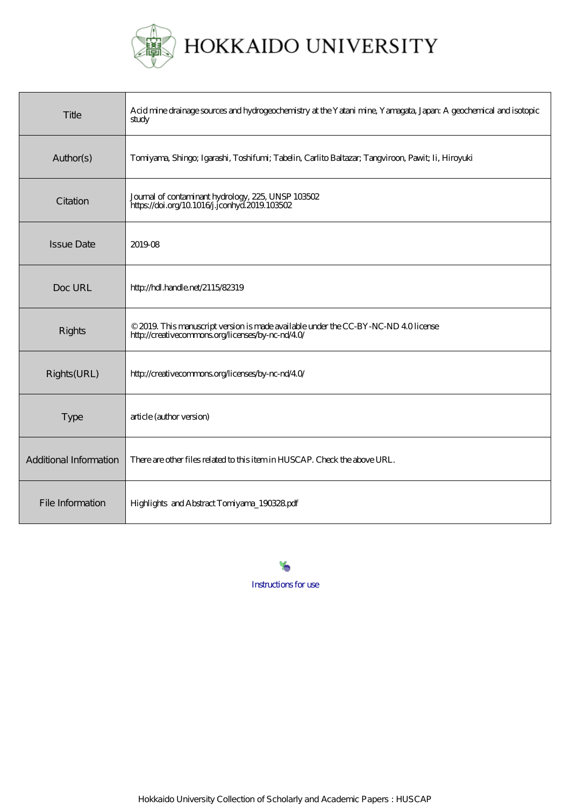

| Title                  | Acid mine drainage sources and hydrogeochemistry at the Yatani mine, Yamagata, Japan: A geochemical and isotopic<br>study              |
|------------------------|----------------------------------------------------------------------------------------------------------------------------------------|
| Author(s)              | Tomiyama, Shingo; Igarashi, Toshifumi; Tabelin, Carlito Baltazar; Tangviroon, Pawit; Ii, Hiroyuki                                      |
| Citation               | Journal of contaminant hydrology, 225, UNSP 103502<br>https://doi.org/10.1016/j.jconhyd.2019.103502                                    |
| <b>Issue Date</b>      | 201908                                                                                                                                 |
| Doc URL                | http://hdl.handle.net/2115/82319                                                                                                       |
| Rights                 | © 2019. This manuscript version is made available under the CC-BY-NC-ND 40 license<br>http://creativecommons.org/licenses/by-nc-nd/40/ |
| Rights(URL)            | http://creativecommons.org/licenses/by-nc-nd/40/                                                                                       |
| Type                   | article (author version)                                                                                                               |
| Additional Information | There are other files related to this item in HUSCAP. Check the above URL.                                                             |
| File Information       | Highlights and Abstract Tomiyama_190328.pdf                                                                                            |

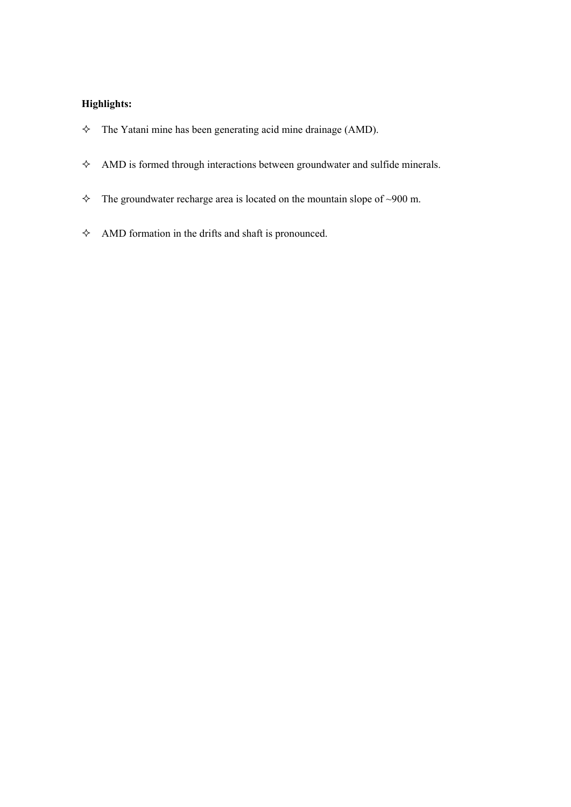## **Highlights:**

- $\Diamond$  The Yatani mine has been generating acid mine drainage (AMD).
- $\triangle$  AMD is formed through interactions between groundwater and sulfide minerals.
- $\div$  The groundwater recharge area is located on the mountain slope of ~900 m.
- $\Diamond$  AMD formation in the drifts and shaft is pronounced.